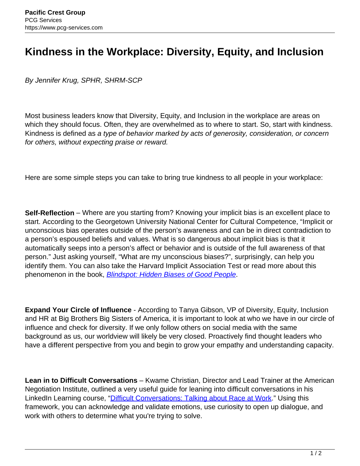## **Kindness in the Workplace: Diversity, Equity, and Inclusion**

By Jennifer Krug, SPHR, SHRM-SCP

Most business leaders know that Diversity, Equity, and Inclusion in the workplace are areas on which they should focus. Often, they are overwhelmed as to where to start. So, start with kindness. Kindness is defined as a type of behavior marked by acts of generosity, consideration, or concern for others, without expecting praise or reward.

Here are some simple steps you can take to bring true kindness to all people in your workplace:

**Self-Reflection** – Where are you starting from? Knowing your implicit bias is an excellent place to start. According to the Georgetown University National Center for Cultural Competence, "Implicit or unconscious bias operates outside of the person's awareness and can be in direct contradiction to a person's espoused beliefs and values. What is so dangerous about implicit bias is that it automatically seeps into a person's affect or behavior and is outside of the full awareness of that person." Just asking yourself, "What are my unconscious biases?", surprisingly, can help you identify them. You can also take the Harvard Implicit Association Test or read more about this phenomenon in the book, **[Blindspot: Hidden Biases of Good People](http://blindspot.fas.harvard.edu/)**.

**Expand Your Circle of Influence** - According to Tanya Gibson, VP of Diversity, Equity, Inclusion and HR at Big Brothers Big Sisters of America, it is important to look at who we have in our circle of influence and check for diversity. If we only follow others on social media with the same background as us, our worldview will likely be very closed. Proactively find thought leaders who have a different perspective from you and begin to grow your empathy and understanding capacity.

**Lean in to Difficult Conversations** – Kwame Christian, Director and Lead Trainer at the American Negotiation Institute, outlined a very useful guide for leaning into difficult conversations in his LinkedIn Learning course, "Difficult Conversations: Talking about Race at Work." Using this framework, you can acknowledge and validate emotions, use curiosity to open up dialogue, and work with others to determine what you're trying to solve.